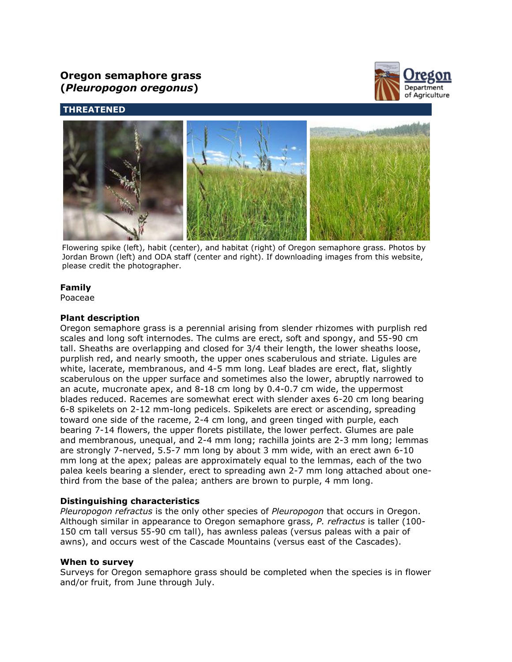# **Oregon semaphore grass (***Pleuropogon oregonus***)**



# **THREATENED**



Flowering spike (left), habit (center), and habitat (right) of Oregon semaphore grass. Photos by Jordan Brown (left) and ODA staff (center and right). If downloading images from this website, please credit the photographer.

# **Family**

Poaceae

## **Plant description**

Oregon semaphore grass is a perennial arising from slender rhizomes with purplish red scales and long soft internodes. The culms are erect, soft and spongy, and 55-90 cm tall. Sheaths are overlapping and closed for 3/4 their length, the lower sheaths loose, purplish red, and nearly smooth, the upper ones scaberulous and striate. Ligules are white, lacerate, membranous, and 4-5 mm long. Leaf blades are erect, flat, slightly scaberulous on the upper surface and sometimes also the lower, abruptly narrowed to an acute, mucronate apex, and 8-18 cm long by 0.4-0.7 cm wide, the uppermost blades reduced. Racemes are somewhat erect with slender axes 6-20 cm long bearing 6-8 spikelets on 2-12 mm-long pedicels. Spikelets are erect or ascending, spreading toward one side of the raceme, 2-4 cm long, and green tinged with purple, each bearing 7-14 flowers, the upper florets pistillate, the lower perfect. Glumes are pale and membranous, unequal, and 2-4 mm long; rachilla joints are 2-3 mm long; lemmas are strongly 7-nerved, 5.5-7 mm long by about 3 mm wide, with an erect awn 6-10 mm long at the apex; paleas are approximately equal to the lemmas, each of the two palea keels bearing a slender, erect to spreading awn 2-7 mm long attached about onethird from the base of the palea; anthers are brown to purple, 4 mm long.

# **Distinguishing characteristics**

*Pleuropogon refractus* is the only other species of *Pleuropogon* that occurs in Oregon. Although similar in appearance to Oregon semaphore grass, *P. refractus* is taller (100- 150 cm tall versus 55-90 cm tall), has awnless paleas (versus paleas with a pair of awns), and occurs west of the Cascade Mountains (versus east of the Cascades).

## **When to survey**

Surveys for Oregon semaphore grass should be completed when the species is in flower and/or fruit, from June through July.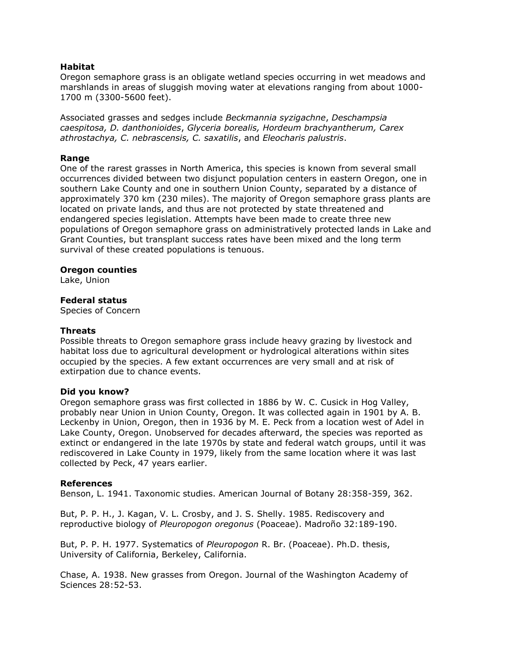### **Habitat**

Oregon semaphore grass is an obligate wetland species occurring in wet meadows and marshlands in areas of sluggish moving water at elevations ranging from about 1000- 1700 m (3300-5600 feet).

Associated grasses and sedges include *Beckmannia syzigachne*, *Deschampsia caespitosa, D. danthonioides*, *Glyceria borealis, Hordeum brachyantherum, Carex athrostachya, C. nebrascensis, C. saxatilis*, and *Eleocharis palustris*.

#### **Range**

One of the rarest grasses in North America, this species is known from several small occurrences divided between two disjunct population centers in eastern Oregon, one in southern Lake County and one in southern Union County, separated by a distance of approximately 370 km (230 miles). The majority of Oregon semaphore grass plants are located on private lands, and thus are not protected by state threatened and endangered species legislation. Attempts have been made to create three new populations of Oregon semaphore grass on administratively protected lands in Lake and Grant Counties, but transplant success rates have been mixed and the long term survival of these created populations is tenuous.

#### **Oregon counties**

Lake, Union

#### **Federal status**

Species of Concern

#### **Threats**

Possible threats to Oregon semaphore grass include heavy grazing by livestock and habitat loss due to agricultural development or hydrological alterations within sites occupied by the species. A few extant occurrences are very small and at risk of extirpation due to chance events.

#### **Did you know?**

Oregon semaphore grass was first collected in 1886 by W. C. Cusick in Hog Valley, probably near Union in Union County, Oregon. It was collected again in 1901 by A. B. Leckenby in Union, Oregon, then in 1936 by M. E. Peck from a location west of Adel in Lake County, Oregon. Unobserved for decades afterward, the species was reported as extinct or endangered in the late 1970s by state and federal watch groups, until it was rediscovered in Lake County in 1979, likely from the same location where it was last collected by Peck, 47 years earlier.

#### **References**

Benson, L. 1941. Taxonomic studies. American Journal of Botany 28:358-359, 362.

But, P. P. H., J. Kagan, V. L. Crosby, and J. S. Shelly. 1985. Rediscovery and reproductive biology of *Pleuropogon oregonus* (Poaceae). Madroño 32:189-190.

But, P. P. H. 1977. Systematics of *Pleuropogon* R. Br. (Poaceae). Ph.D. thesis, University of California, Berkeley, California.

Chase, A. 1938. New grasses from Oregon. Journal of the Washington Academy of Sciences 28:52-53.